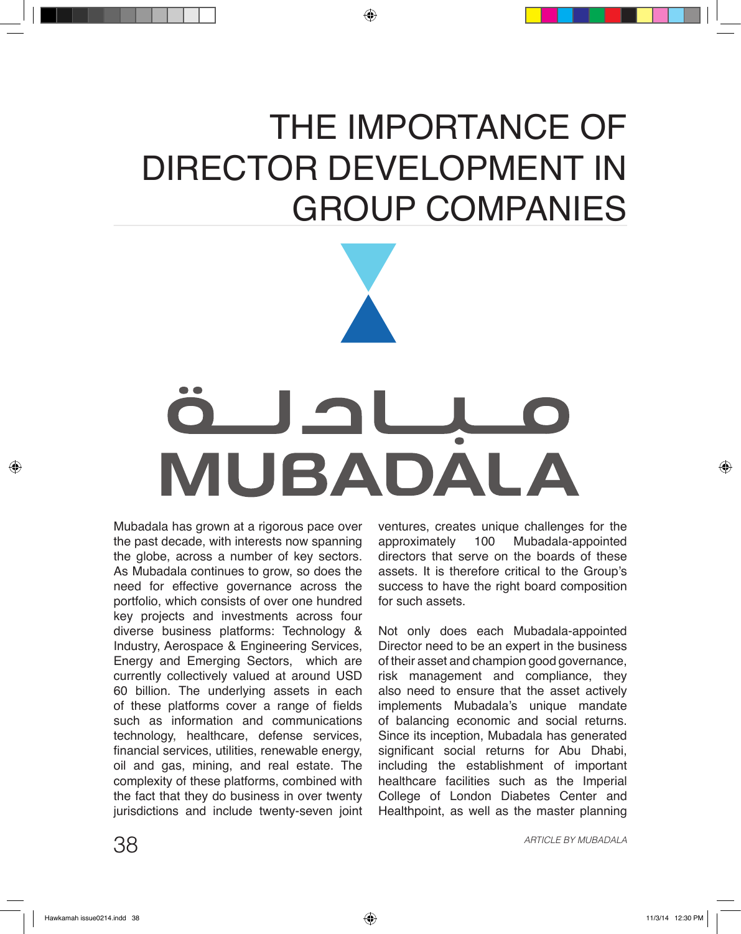## THE IMPORTANCE OF DIRECTOR DEVELOPMENT IN GROUP COMPANIES



Mubadala has grown at a rigorous pace over the past decade, with interests now spanning the globe, across a number of key sectors. As Mubadala continues to grow, so does the need for effective governance across the portfolio, which consists of over one hundred key projects and investments across four diverse business platforms: Technology & Industry, Aerospace & Engineering Services, Energy and Emerging Sectors, which are currently collectively valued at around USD 60 billion. The underlying assets in each of these platforms cover a range of fields such as information and communications technology, healthcare, defense services, financial services, utilities, renewable energy, oil and gas, mining, and real estate. The complexity of these platforms, combined with the fact that they do business in over twenty jurisdictions and include twenty-seven joint ventures, creates unique challenges for the approximately 100 Mubadala-appointed Mubadala-appointed directors that serve on the boards of these assets. It is therefore critical to the Group's success to have the right board composition for such assets.

Not only does each Mubadala-appointed Director need to be an expert in the business of their asset and champion good governance, risk management and compliance, they also need to ensure that the asset actively implements Mubadala's unique mandate of balancing economic and social returns. Since its inception, Mubadala has generated significant social returns for Abu Dhabi, including the establishment of important healthcare facilities such as the Imperial College of London Diabetes Center and Healthpoint, as well as the master planning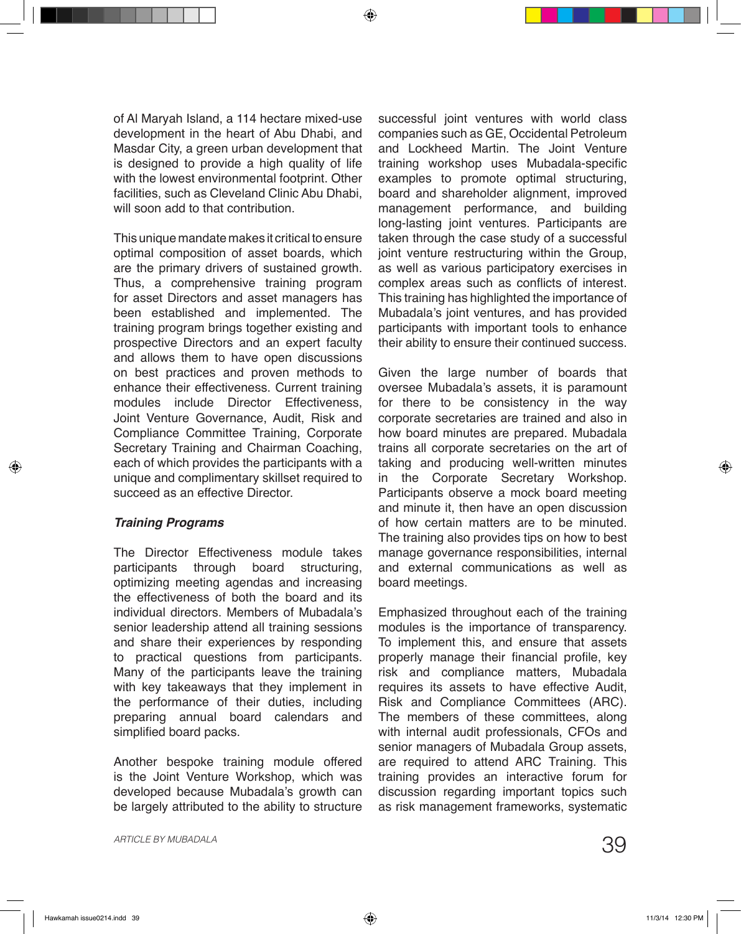of Al Maryah Island, a 114 hectare mixed-use development in the heart of Abu Dhabi, and Masdar City, a green urban development that is designed to provide a high quality of life with the lowest environmental footprint. Other facilities, such as Cleveland Clinic Abu Dhabi, will soon add to that contribution.

This unique mandate makes it critical to ensure optimal composition of asset boards, which are the primary drivers of sustained growth. Thus, a comprehensive training program for asset Directors and asset managers has been established and implemented. The training program brings together existing and prospective Directors and an expert faculty and allows them to have open discussions on best practices and proven methods to enhance their effectiveness. Current training modules include Director Effectiveness, Joint Venture Governance, Audit, Risk and Compliance Committee Training, Corporate Secretary Training and Chairman Coaching, each of which provides the participants with a unique and complimentary skillset required to succeed as an effective Director

## *Training Programs*

The Director Effectiveness module takes participants through board structuring, optimizing meeting agendas and increasing the effectiveness of both the board and its individual directors. Members of Mubadala's senior leadership attend all training sessions and share their experiences by responding to practical questions from participants. Many of the participants leave the training with key takeaways that they implement in the performance of their duties, including preparing annual board calendars and simplified board packs.

Another bespoke training module offered is the Joint Venture Workshop, which was developed because Mubadala's growth can be largely attributed to the ability to structure

successful joint ventures with world class companies such as GE, Occidental Petroleum and Lockheed Martin. The Joint Venture training workshop uses Mubadala-specific examples to promote optimal structuring, board and shareholder alignment, improved management performance, and building long-lasting joint ventures. Participants are taken through the case study of a successful joint venture restructuring within the Group, as well as various participatory exercises in complex areas such as conflicts of interest. This training has highlighted the importance of Mubadala's joint ventures, and has provided participants with important tools to enhance their ability to ensure their continued success.

Given the large number of boards that oversee Mubadala's assets, it is paramount for there to be consistency in the way corporate secretaries are trained and also in how board minutes are prepared. Mubadala trains all corporate secretaries on the art of taking and producing well-written minutes in the Corporate Secretary Workshop. Participants observe a mock board meeting and minute it, then have an open discussion of how certain matters are to be minuted. The training also provides tips on how to best manage governance responsibilities, internal and external communications as well as board meetings.

Emphasized throughout each of the training modules is the importance of transparency. To implement this, and ensure that assets properly manage their financial profile, key risk and compliance matters, Mubadala requires its assets to have effective Audit, Risk and Compliance Committees (ARC). The members of these committees, along with internal audit professionals, CFOs and senior managers of Mubadala Group assets, are required to attend ARC Training. This training provides an interactive forum for discussion regarding important topics such as risk management frameworks, systematic